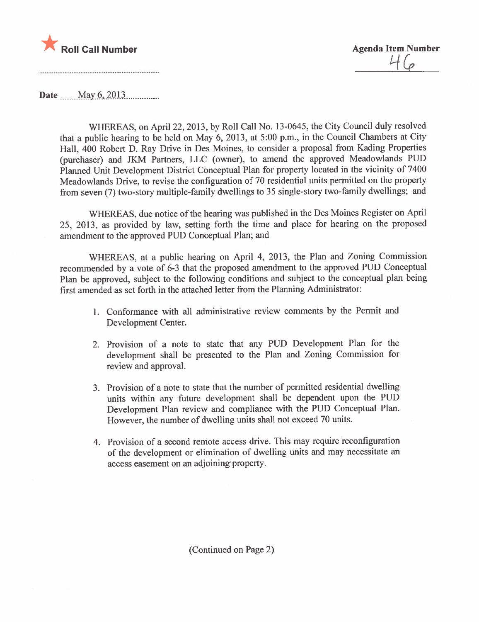

Date May 6, 2013

WHEREAS, on April 22, 2013, by Roll Call No. 13-0645, the City Council duly resolved that a public hearing to be held on May 6, 2013, at 5:00 p.m., in the Council Chambers at City Hall, 400 Robert D. Ray Drive in Des Moines, to consider a proposal from Kading Properties (purchaser) and JKM Partners, LLC (owner), to amend the approved Meadowlands PUD Planned Unit Development District Conceptual Plan for property located in the vicinity of 7400 Meadowlands Drive, to revise the configuration of 70 residential units permitted on the property from seven (7) two-story multiple-family dwellings to 35 single-story two-family dwellings; and

WHEREAS, due notice of the hearing was published in the Des Moines Register on April 25, 2013, as provided by law, setting forth the time and place for hearing on the proposed amendment to the approved PUD Conceptual Plan; and

WHEREAS, at a public hearing on April 4, 2013, the Plan and Zoning Commission recommended by a vote of 6-3 that the proposed amendment to the approved PUD Conceptual Plan be approved, subject to the following conditions and subject to the conceptual plan being first amended as set forth in the attached letter from the Planning Administrator:

- 1. Conformance with all administrative review comments by the Permit and Development Center.
- 2. Provision of a note to state that any PUD Development Plan for the development shall be presented to the Plan and Zoning Commission for review and approvaL.
- 3. Provision of a note to state that the number of permitted residential dwelling units within any future development shall be dependent upon the PUD Development Plan review and compliance with the PUD Conceptual Plan. However, the number of dwelling units shall not exceed 70 units.
- 4. Provision of a second remote access drive. This may require reconfguration of the development or elimination of dwelling units and may necessitate an access easement on an adjoining property.

(Continued on Page 2)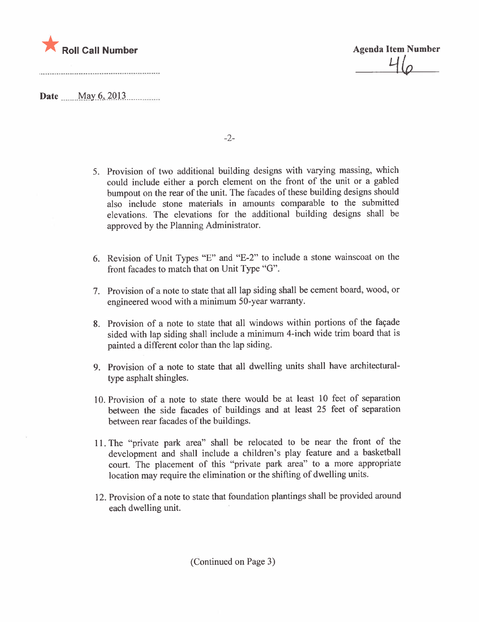

 $\Box \varphi$ 

Date  $\frac{May\ 6, 2013...}{\dots}$ 

-2-

- 5. Provision of two additional building designs with varying massing, which could include either a porch element on the front of the unit or a gabled bumpout on the rear of the unit. The facades of these building designs should also include stone materials in amounts comparable to the submitted elevations. The elevations for the additional building designs shall be approved by the Planning Administrator.
- 6. Revision of Unit Types "E" and "E-2" to include a stone wainscoat on the front facades to match that on Unit Type "G".
- 7. Provision of a note to state that all lap siding shall be cement board, wood, or engineered wood with a minimum 50-year warranty.
- 8. Provision of a note to state that all windows within portions of the façade sided with lap siding shall include a minimum 4-inch wide trim board that is painted a different color than the lap siding.
- 9. Provision of a note to state that all dwelling units shall have architecturaltype asphalt shingles.
- 10. Provision of a note to state there would be at least 10 feet of separation between the side facades of buildings and at least 25 feet of separation between rear facades of the buildings.
- 11. The "private park area" shall be relocated to be near the front of the development and shall include a children's play feature and a basketball court. The placement of this "private park area" to a more appropriate location may require the elimination or the shifting of dwelling units.
- 12. Provision of a note to state that foundation plantings shall be provided around each dwelling unit.

(Continued on Page 3)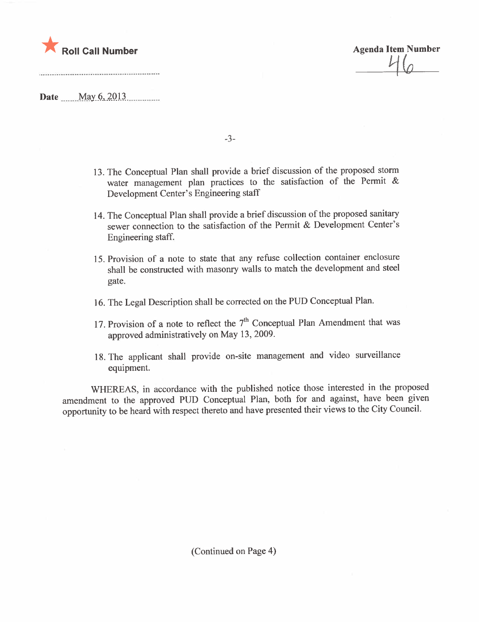

 $\overline{\mathcal{L}}$ 

 $\textbf{Date}$   $\text{May } 6, 2013$ 

13. The Conceptual Plan shall provide a brief discussion of the proposed storm water management plan practices to the satisfaction of the Permit & Development Center's Engineering staff

-3-

- 14. The Conceptual Plan shall provide a brief discussion of the proposed sanitary sewer connection to the satisfaction of the Permit & Development Center's Engineering staff.
- 15. Provision of a note to state that any refuse collection container enclosure shall be constructed with masonry walls to match the development and steel gate.
- 16. The Legal Description shall be corrected on the PUD Conceptual Plan.
- 17. Provision of a note to reflect the  $7<sup>th</sup>$  Conceptual Plan Amendment that was approved administratively on May 13,2009.
- 18. The applicant shall provide on-site management and video surveillance equipment.

WHEREAS, in accordance with the published notice those interested in the proposed amendment to the approved PUD Conceptual Plan, both for and against, have been given opportunity to be heard with respect thereto and have presented their views to the City CounciL.

(Continued on Page 4)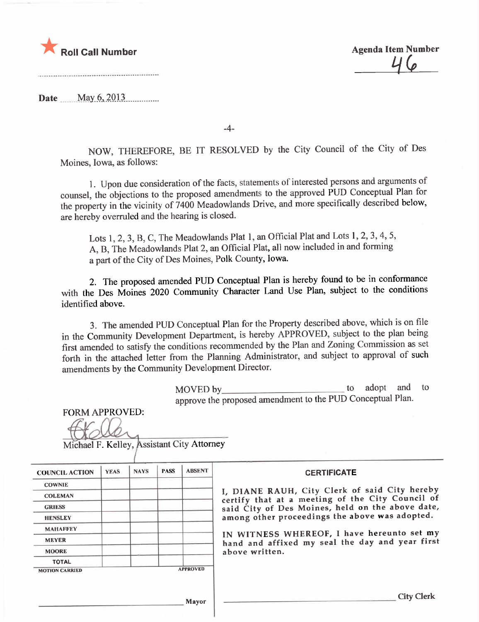

<u>46</u>

Date \_\_\_ May 6, 2013

-4-

NOW, THEREFORE, BE IT RESOLVED by the City Council of the City of Des Moines, Iowa, as follows:

1. Upon due consideration of the facts, statements of interested persons and arguments of counsel, the objections to the proposed amendments to the approved PUD Conceptual Plan for the property in the vicinity of 7400 Meadowlands Drive, and more specifically described below, are hereby overruled and the hearing is closed.

Lots 1, 2, 3, B, C, The Meadowlands Plat 1, an Official Plat and Lots 1, 2, 3, 4, 5, A, B, The Meadowlands Plat 2, an Official Plat, all now included in and forming a part of the City of Des Moines, Polk County, Iowa.

2. The proposed amended PUD Conceptual Plan is hereby found to be in conformance with the Des Moines 2020 Community Character Land Use Plan, subject to the conditions identified above.

3. The amended PUD Conceptual Plan for the Property described above, which is on file in the Community Development Department, is hereby APPROVED, subject to the plan being first amended to satisfy the conditions recommended by the Plan and Zoning Commission as set forth in the attached letter from the Planning Administrator, and subject to approval of such amendments by the Community Development Director.

> $\text{MOVED by}$  to adopt and to  $\text{loop}$  and to  $\text{loop}$ approve the proposed amendment to the PUD Conceptual Plan.

FORM APPROVED:

Michael F. Kelley, Assistant City Attorney

| <b>COUNCIL ACTION</b> | <b>YEAS</b> | <b>NAYS</b> | <b>PASS</b> | <b>ABSENT</b>   | <b>CERTIFICATE</b>                                                                                                                                    |  |  |  |  |  |
|-----------------------|-------------|-------------|-------------|-----------------|-------------------------------------------------------------------------------------------------------------------------------------------------------|--|--|--|--|--|
| <b>COWNIE</b>         |             |             |             |                 |                                                                                                                                                       |  |  |  |  |  |
| <b>COLEMAN</b>        |             |             |             |                 | I, DIANE RAUH, City Clerk of said City hereby<br>certify that at a meeting of the City Council of<br>said City of Des Moines, held on the above date, |  |  |  |  |  |
| <b>GRIESS</b>         |             |             |             |                 |                                                                                                                                                       |  |  |  |  |  |
| <b>HENSLEY</b>        |             |             |             |                 | among other proceedings the above was adopted.                                                                                                        |  |  |  |  |  |
| <b>MAHAFFEY</b>       |             |             |             |                 |                                                                                                                                                       |  |  |  |  |  |
| <b>MEYER</b>          |             |             |             |                 | IN WITNESS WHEREOF, I have hereunto set my<br>hand and affixed my seal the day and year first                                                         |  |  |  |  |  |
| <b>MOORE</b>          |             |             |             |                 | above written.                                                                                                                                        |  |  |  |  |  |
| <b>TOTAL</b>          |             |             |             |                 |                                                                                                                                                       |  |  |  |  |  |
| <b>MOTION CARRIED</b> |             |             |             | <b>APPROVED</b> |                                                                                                                                                       |  |  |  |  |  |
|                       |             |             |             |                 |                                                                                                                                                       |  |  |  |  |  |
|                       |             |             |             | <b>Mayor</b>    | <b>City Clerk</b>                                                                                                                                     |  |  |  |  |  |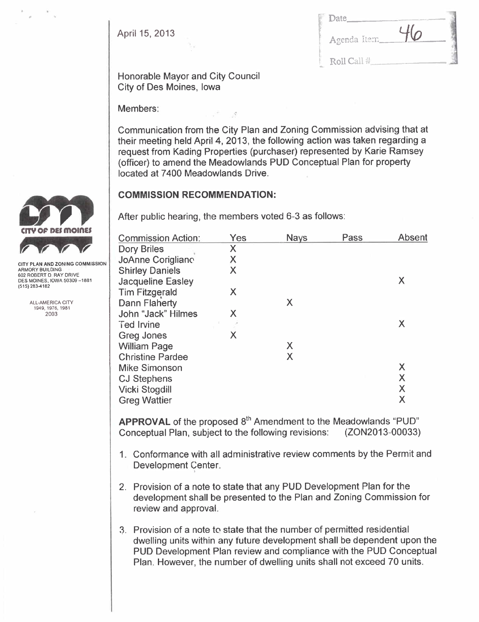April 15, 2013

| Date         |    |  |
|--------------|----|--|
| Agenda Item. | 46 |  |
| Roll Call #  |    |  |

Honorable Mayor and City Council City of Des Moines, Iowa

Members:

Communication from the City Plan and Zoning Commission advising that at their meeting held April 4, 2013, the following action was taken regarding a request from Kading Properties (purchaser) represented by Karie Ramsey (officer) to amend the Meadowlands PUD Conceptual Plan for property located at 7400 Meadowlands Drive.

# COMMISSION RECOMMENDATION:

After public hearing, the members voted 6-3 as follows:

| <b>Commission Action:</b> | Yes | <b>Nays</b> | Pass | Absent |
|---------------------------|-----|-------------|------|--------|
| <b>Dory Briles</b>        | Χ   |             |      |        |
| JoAnne Corigliano         | Χ   |             |      |        |
| <b>Shirley Daniels</b>    | X   |             |      |        |
| <b>Jacqueline Easley</b>  |     |             |      | Χ      |
| <b>Tim Fitzgerald</b>     | Χ   |             |      |        |
| <b>Dann Flaherty</b>      |     | X           |      |        |
| John "Jack" Hilmes        | Χ   |             |      |        |
| <b>Ted Irvine</b>         |     |             |      | Χ      |
| Greg Jones                | X   |             |      |        |
| <b>William Page</b>       |     | X           |      |        |
| <b>Christine Pardee</b>   |     | X           |      |        |
| <b>Mike Simonson</b>      |     |             |      | Χ      |
| <b>CJ Stephens</b>        |     |             |      | Χ      |
| Vicki Stogdill            |     |             |      | Χ      |
| <b>Greg Wattier</b>       |     |             |      | Χ      |
|                           |     |             |      |        |

**APPROVAL** of the proposed  $8<sup>th</sup>$  Amendment to the Meadowlands "PUD" Conceptual Plan, subject to the following revisions: (ZON2013-00033) Conceptual Plan, subject to the following revisions:

- 1. Conformance with all administrative review comments by the Permit and Development Center. i
- 2. Provision of a note to state that any PUD Development Plan for the development shall be presented to the Plan and Zoning Commission for review and approvaL.
- 3. Provision of a note to state that the number of permitted residential dwelling units within any future development shall be dependent upon the PUD Development Plan review and compliance with the PUD Conceptual Plan. However, the number of dwelling units shall not exceed 70 units.



ARMORY BUILDING 602 ROBERT D. RAY DRIVE DES MOINES, IOWA 50309-1881 (515) 283-4182

> ALL-AMERICA CITY 1949,1976,1981 2003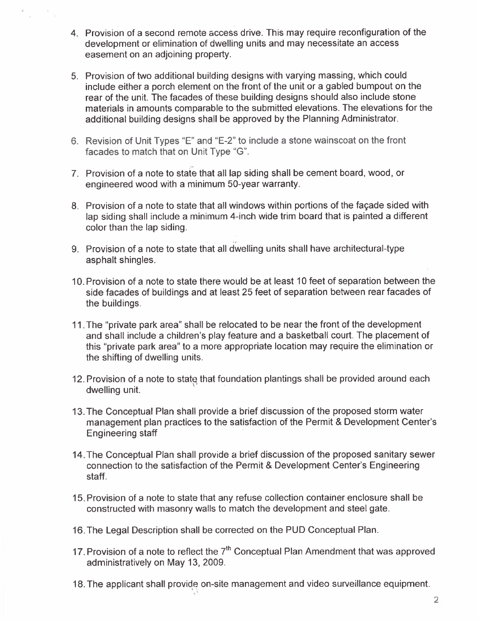- 4. Provision of a second remote access drive. This may require reconfiguration of the development or elimination of dwelling units and may necessitate an access easement on an adjoining property.
- 5. Provision of two additional building designs with varying massing, which could include either a porch element on the front of the unit or a gabled bumpout on the rear of the unit. The facades of these building designs should also include stone materials in amounts comparable to the submitted elevations. The elevations for the additional building designs shall be approved by the Planning Administrator.
- 6. Revision of Unit Types "E" and "E-2" to include a stone wainscoat on the front facades to match that on Unit Type "G".
- 7. Provision of a note to state that all lap siding shall be cement board, wood, or engineered wood with a minimum 50-year warranty.
- 8. Provision of a note to state that all windows within portions of the façade sided with lap siding shall include a minimum 4-inch wide trim board that is painted a different color than the lap siding.
- 9. Provision of a note to state that all dwelling units shall have architectural-type asphalt shingles.
- 10. Provision of a note to state there would be at least 10 feet of separation between the side facades of buildings and at least 25 feet of separation between rear facades of the buildings.
- 11. The "private park area" shall be relocated to be near the front of the development and shall include a children's play feature and a basketball court. The placement of this "private park area" to a more appropriate location may require the elimination or the shifting of dwelling units.
- 12. Provision of a note to state that foundation plantings shall be provided around each dwelling unit.
- 13. The Conceptual Plan shall provide a brief discussion of the proposed storm water management plan practices to the satisfaction of the Permit & Development Center's Engineering staff '
- 14. The Conceptual Plan shall provide a brief discussion of the proposed sanitary sewer connection to the satisfaction of the Permit & Development Center's Engineering staff.
- 15. Provision of a note to state that any refuse collection container enclosure shall be constructed with masonry walls to match the development and steel gate.
- 16. The Legal Description shall be corrected on the PUD Conceptual Plan.
- 17. Provision of a note to reflect the  $7<sup>th</sup>$  Conceptual Plan Amendment that was approved administratively on May 13, 2009.
- 18. The applicant shall provide on-site management and video surveillance equipment.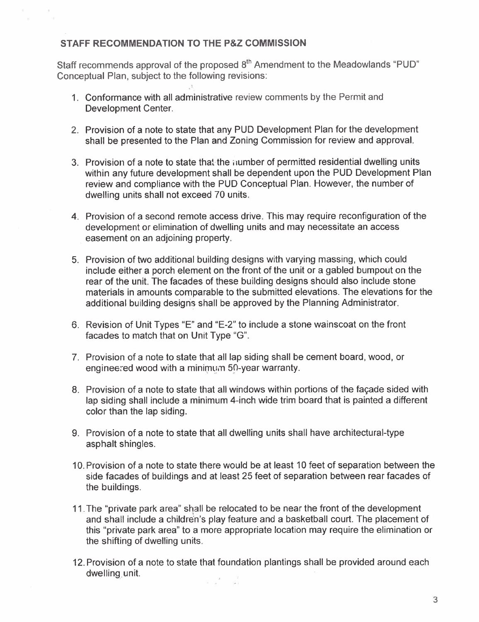# STAFF RECOMMENDATION TO THE P&Z COMMISSION

Staff recommends approval of the proposed 8<sup>th</sup> Amendment to the Meadowlands "PUD" Conceptual Plan, subject to the following revisions:

- 1. Conformance with all administrative review comments by the Permit and Development Center.
- 2. Provision of a note to state that any PUD Development Plan for the development shall be presented to the Plan and Zoning Commission for review and approvaL.
- 3. Provision of a note to state that the number of permitted residential dwelling units within any future development shall be dependent upon the PUD Development Plan review and compliance with the PUD Conceptual Plan. However, the number of dwelling units shall not exceed 70 units.
- 4. Provision of a second remote access drive. This may require reconfiguration of the development or elimination of dwelling units and may necessitate an access easement on an adjoining property.
- 5. Provision of two additional building designs with varying massing, which could include either a porch element on the front of the unit or a gabled bumpout on the rear of the unit. The facades of these building designs should also include stone materials in amounts comparable to the submitted elevations. The elevations for the additional building designs shall be approved by the Planning Administrator.
- 6. Revision of Unit Types "E" and "E-2" to include a stone wainscoat on the front facades to match that on Unit Type "G".
- 7. Provision of a note to state that all lap siding shall be cement board, wood, or engineered wood with a minimum  $50$ -year warranty.
- 8. Provision of a note to state that all windows within portions of the façade sided with lap siding shall include a minimum 4-inch wide trim board that is painted a different color than the lap siding.
- 9. Provision of a note to state that all dwelling units shall have architectural-type asphalt shingles.
- 10. Provision of a note to state there would be at least 10 feet of separation between the side facades of buildings and at least 25 feet of separation between rear facades of the buildings.
- 11. The "private park area" shall be relocated to be near the front of the development and shall include a children's play feature and a basketball court. The placement of this "private park area" to a more appropriate location may require the elimination or the shifting of dwelling units.
- 12. Provision of a note to state that foundation plantings shall be provided around each dwelling unit. s X S

3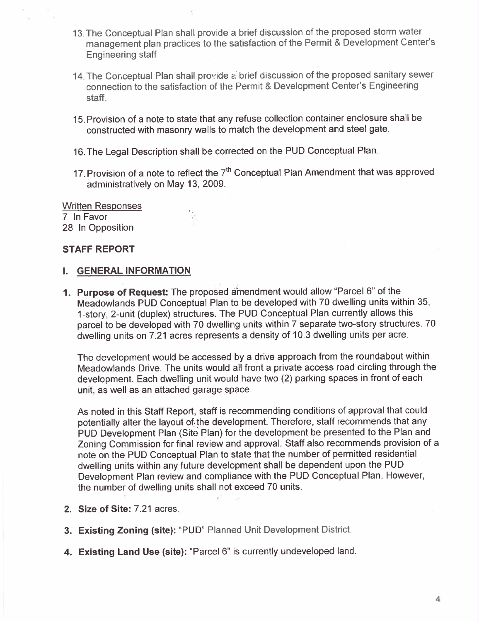- 13. The Conceptual Plan shall provide a brief discussion of the proposed storm water management plan practices to the satisfaction of the Permit & Development Center's Engineering staff
- 14. The Conceptual Plan shall provide a brief discussion of the proposed sanitary sewer connection to the satisfaction of the Permit & Development Center's Engineering staff.
- 15. Provision of a note to state that any refuse collection container enclosure shall be constructed with masonry walls to match the development and steel gate.
- 16. The Legal Description shall be corrected on the PUD Conceptual Plan.
- 17. Provision of a note to reflect the  $7<sup>th</sup>$  Conceptual Plan Amendment that was approved administratively on May 13, 2009.

Written Responses 7 In Favor 28 In Opposition

# STAFF REPORT

#### i. GENERAL INFORMATION

1. Purpose of Request: The proposed amendment would allow "Parcel 6" of the Meadowlands PUD Conceptual Plan to be developed with 70 dwelling units within 35, 1-story, 2-unit (duplex) structures. The PUD Conceptual Plan currently allows this parcel to be developed with 70 dwelling units within 7 separate two-story structures. 70 dwelling units on 7.21 acres represents a density of 10.3 dwelling units per acre.

The development would be accessed by a drive approach from the roundabout within Meadowlands Drive. The units would all front a private access road circling through the development. Each dwelling unit would have two (2) parking spaces in front of each unit, as well as an attached garage space.

As noted in this Staff Report, staff is recommending conditions of approval that could potentially alter the layout of. the development. Therefore, staff recommends that any PUD Development Plan (Site Plan) for the development be presented to the Plan and Zoning Commission for final review and approval. Staff also recommends provision of a note on the PUD Conceptual Plan to state that the number of permitted residential dwelling units within any future development shall be dependent upon the PUD Development Plan review and compliance with the PUD Conceptual Plan. However, the number of dwelling units shall not exceed 70 units.

- 2. Size of Site: 7.21 acres.
- 3. Existing Zoning (site): "PUD" Planned Unit Development District.
- 4. Existing Land Use (site): "Parcel 6" is currently undeveloped land.